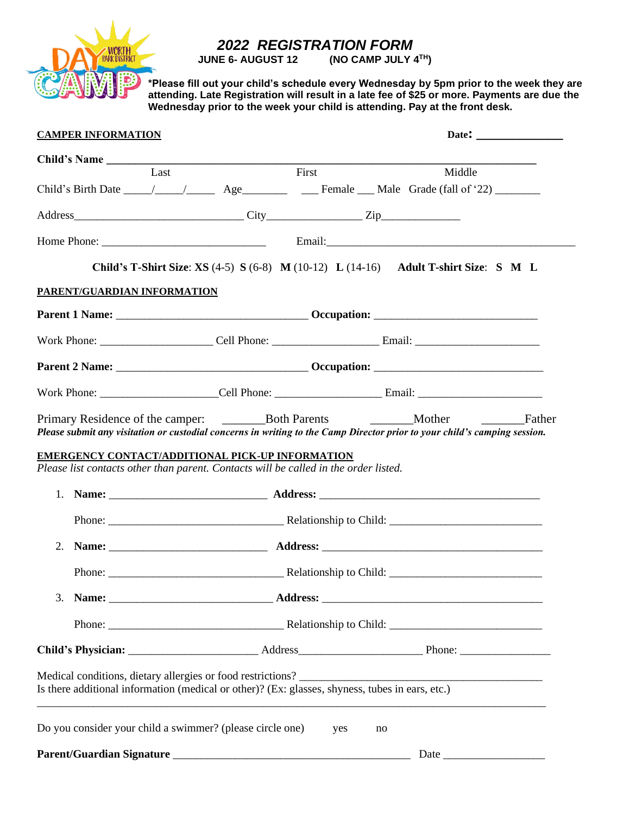

## *2022 REGISTRATION FORM*

**JUNE 6- AUGUST 12** (NO CAMP JULY 4TH)

**\*Please fill out your child's schedule every Wednesday by 5pm prior to the week they are attending. Late Registration will result in a late fee of \$25 or more. Payments are due the Wednesday prior to the week your child is attending. Pay at the front desk.**

| <b>CAMPER INFORMATION</b>                                                                                                                                                                                                                                             |      |                                                                                      |    |        |        |
|-----------------------------------------------------------------------------------------------------------------------------------------------------------------------------------------------------------------------------------------------------------------------|------|--------------------------------------------------------------------------------------|----|--------|--------|
| Child's Name                                                                                                                                                                                                                                                          |      |                                                                                      |    |        |        |
|                                                                                                                                                                                                                                                                       | Last | First                                                                                |    | Middle |        |
|                                                                                                                                                                                                                                                                       |      |                                                                                      |    |        |        |
|                                                                                                                                                                                                                                                                       |      |                                                                                      |    |        |        |
|                                                                                                                                                                                                                                                                       |      |                                                                                      |    |        |        |
|                                                                                                                                                                                                                                                                       |      | Child's T-Shirt Size: XS (4-5) S (6-8) M (10-12) L (14-16) Adult T-shirt Size: S M L |    |        |        |
| PARENT/GUARDIAN INFORMATION                                                                                                                                                                                                                                           |      |                                                                                      |    |        |        |
|                                                                                                                                                                                                                                                                       |      |                                                                                      |    |        |        |
|                                                                                                                                                                                                                                                                       |      |                                                                                      |    |        |        |
|                                                                                                                                                                                                                                                                       |      |                                                                                      |    |        |        |
|                                                                                                                                                                                                                                                                       |      |                                                                                      |    |        |        |
|                                                                                                                                                                                                                                                                       |      |                                                                                      |    |        | Father |
|                                                                                                                                                                                                                                                                       |      |                                                                                      |    |        |        |
|                                                                                                                                                                                                                                                                       |      |                                                                                      |    |        |        |
| 2.                                                                                                                                                                                                                                                                    |      |                                                                                      |    |        |        |
|                                                                                                                                                                                                                                                                       |      |                                                                                      |    |        |        |
|                                                                                                                                                                                                                                                                       |      |                                                                                      |    |        |        |
| Please submit any visitation or custodial concerns in writing to the Camp Director prior to your child's camping session.<br>EMERGENCY CONTACT/ADDITIONAL PICK-UP INFORMATION<br>Please list contacts other than parent. Contacts will be called in the order listed. |      |                                                                                      |    |        |        |
|                                                                                                                                                                                                                                                                       |      |                                                                                      |    |        |        |
|                                                                                                                                                                                                                                                                       |      |                                                                                      |    |        |        |
| Is there additional information (medical or other)? (Ex: glasses, shyness, tubes in ears, etc.)<br>Do you consider your child a swimmer? (please circle one)                                                                                                          |      | yes                                                                                  | no |        |        |